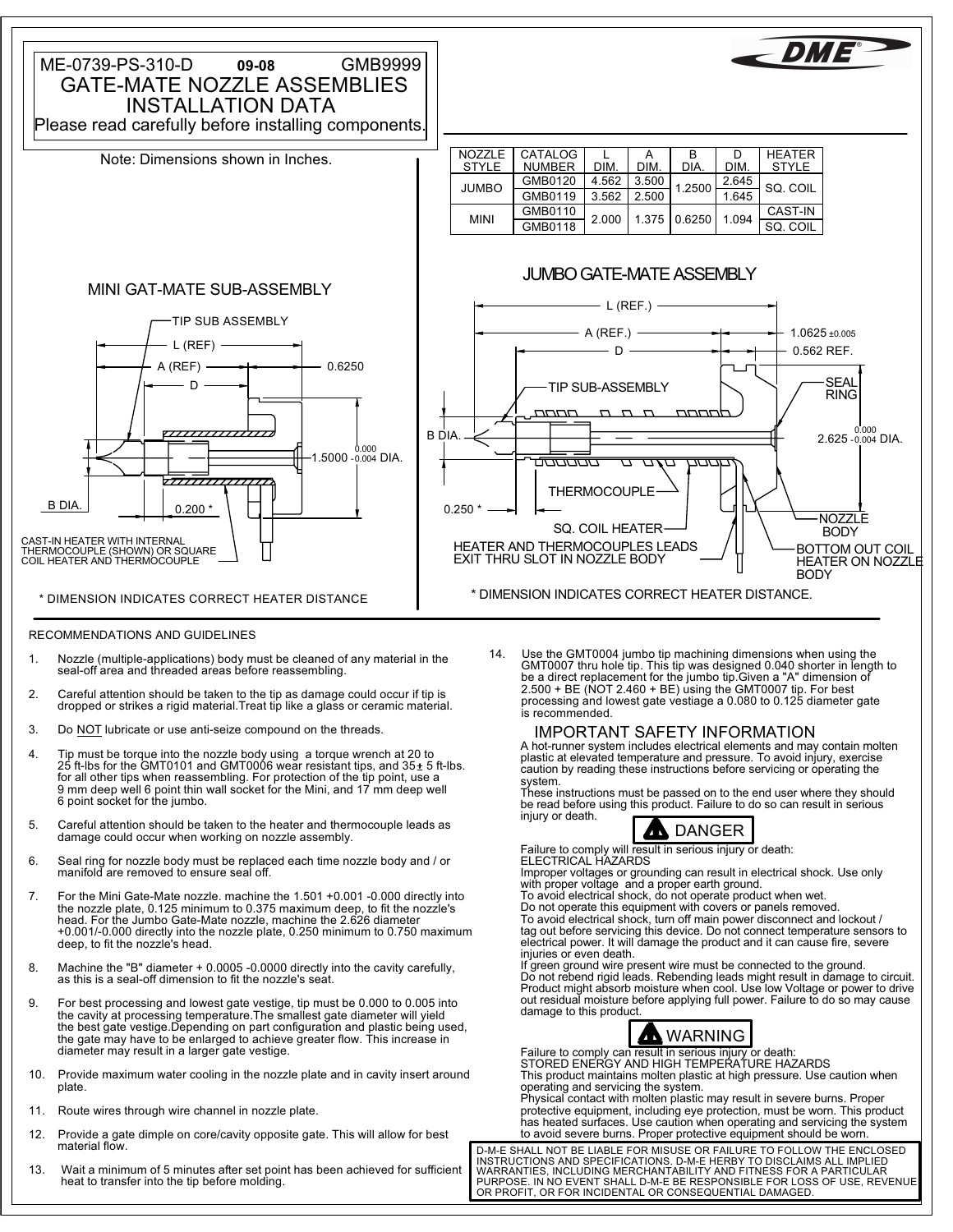

## RECOMMENDATIONS AND GUIDELINES

- seal-off area and threaded areas before reassembling. 1. Nozzle (multiple-applications) body must be cleaned of any material in the
- 2. Careful attention should be taken to the tip as damage could occur if tip is<br>dropped or strikes a rigid material.Treat tip like a glass or ceramic material.
- 3. Do **NOT** lubricate or use anti-seize compound on the threads.
- 4. Tip must be torque into the nozzle body using a torque wrench at 20 to 25 ft-lbs for the GMT0101 and GMT0006 wear resistant tips, and 35 ± 5 ft-lbs.<br>for all other tips when reassembling. For protection of the tip point, 6 point socket for the jumbo.
- 5. Careful attention should be taken to the heater and thermocouple leads as damage could occur when working on nozzle assembly.
- 6. Seal ring for nozzle body must be replaced each time nozzle body and / or manifold are removed to ensure seal off.
- deep, to fit the nozzle's head. +0.001/-0.000 directly into the nozzle plate, 0.250 minimum to 0.750 maximum head. For the Jumbo Gate-Mate nozzle, machine the 2.626 diameter 7. For the Mini Gate-Mate nozzle. machine the 1.501 +0.001 -0.000 directly into the nozzle plate, 0.125 minimum to 0.375 maximum deep, to fit the nozzle's
- 8. Machine the "B" diameter + 0.0005 -0.0000 directly into the cavity carefully, as this is a seal-off dimension to fit the nozzle's seat.
- the gate may have to be enlarged to achieve greater flow. This increase in the cavity at processing temperature.The smallest gate diameter will yield 9. For best processing and lowest gate vestige, tip must be 0.000 to 0.005 into diameter may result in a larger gate vestige. the best gate vestige.Depending on part configuration and plastic being used,
- 10. Provide maximum water cooling in the nozzle plate and in cavity insert around plate.
- 11. Route wires through wire channel in nozzle plate.
- 12. Provide a gate dimple on core/cavity opposite gate. This will allow for best material flow.
- heat to transfer into the tip before molding. 13. Wait a minimum of 5 minutes after set point has been achieved for sufficient

2.500 + BE (NOT 2.460 + BE) using the GMT0007 tip. For best be a direct replacement for the jumbo tip.Given a "A" dimension of GMT0007 thru hole tip. This tip was designed 0.040 shorter in length to 14. Use the GMT0004 jumbo tip machining dimensions when using the is recommended. processing and lowest gate vestiage a 0.080 to 0.125 diameter gate

 IMPORTANT SAFETY INFORMATION A hot-runner system includes electrical elements and may contain molten plastic at elevated temperature and pressure. To avoid injury, exercise caution by reading these instructions before servicing or operating the system.

These instructions must be passed on to the end user where they should be read before using this product. Failure to do so can result in serious injury or death.



Failure to comply will result in serious injury or death: ELECTRICAL HAZARDS

Improper voltages or grounding can result in electrical shock. Use only

with proper voltage and a proper earth ground. To avoid electrical shock, do not operate product when wet.

Do not operate this equipment with covers or panels removed. To avoid electrical shock, turn off main power disconnect and lockout / tag out before servicing this device. Do not connect temperature sensors to electrical power. It will damage the product and it can cause fire, severe injuries or even death.

out residual moisture before applying full power. Failure to do so may cause If green ground wire present wire must be connected to the ground. Do not rebend rigid leads. Rebending leads might result in damage to circuit. Product might absorb moisture when cool. Use low Voltage or power to drive damage to this product.



Failure to comply can result in serious injury or death: STORED ENERGY AND HIGH TEMPERATURE HAZARDS This product maintains molten plastic at high pressure. Use caution when operating and servicing the system. Physical contact with molten plastic may result in severe burns. Proper

protective equipment, including eye protection, must be worn. This product has heated surfaces. Use caution when operating and servicing the system to avoid severe burns. Proper protective equipment should be worn.

PURPOSE. IN NO EVENT SHALL D-M-E BE RESPONSIBLE FOR LOSS OF USE, REVENUE D-M-E SHALL NOT BE LIABLE FOR MISUSE OR FAILURE TO FOLLOW THE ENCLOSED INSTRUCTIONS AND SPECIFICATIONS. D-M-E HERBY TO DISCLAIMS ALL IMPLIED WARRANTIES, INCLUDING MERCHANTABILITY AND FITNESS FOR A PARTICULAR OR PROFIT, OR FOR INCIDENTAL OR CONSEQUENTIAL DAMAGED.